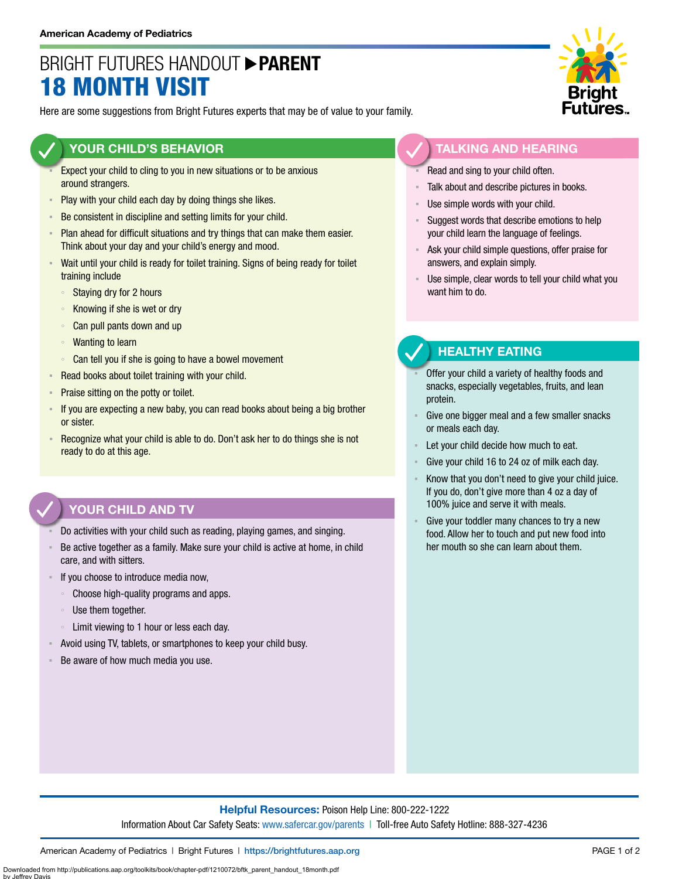# BRIGHT FUTURES HANDOUT **PARENT** 18 MONTH VISIT

Here are some suggestions from Bright Futures experts that may be of value to your family.

### **YOUR CHILD'S BEHAVIOR**

- Expect your child to cling to you in new situations or to be anxious around strangers.
- **Play with your child each day by doing things she likes.**
- Be consistent in discipline and setting limits for your child.
- Plan ahead for difficult situations and try things that can make them easier. Think about your day and your child's energy and mood.
- Wait until your child is ready for toilet training. Signs of being ready for toilet training include
	- Staying dry for 2 hours
	- Knowing if she is wet or dry
	- Can pull pants down and up
	- Wanting to learn
	- Can tell you if she is going to have a bowel movement
- Read books about toilet training with your child.
- **Praise sitting on the potty or toilet.**
- If you are expecting a new baby, you can read books about being a big brother or sister.
- Recognize what your child is able to do. Don't ask her to do things she is not ready to do at this age.

## **YOUR CHILD AND TV**

- Do activities with your child such as reading, playing games, and singing.
- Be active together as a family. Make sure your child is active at home, in child care, and with sitters.
- If you choose to introduce media now,
	- Choose high-quality programs and apps.
	- Use them together.
	- Limit viewing to 1 hour or less each day.
- Avoid using TV, tablets, or smartphones to keep your child busy.
- Be aware of how much media you use.



#### **TALKING AND HEARING**

- Read and sing to your child often.
- Talk about and describe pictures in books.
- Use simple words with your child.
- Suggest words that describe emotions to help your child learn the language of feelings.
- Ask your child simple questions, offer praise for answers, and explain simply.
- Use simple, clear words to tell your child what you want him to do.

## **HEALTHY EATING**

- Offer your child a variety of healthy foods and snacks, especially vegetables, fruits, and lean protein.
- Give one bigger meal and a few smaller snacks or meals each day.
- Let your child decide how much to eat.
- Give your child 16 to 24 oz of milk each day.
- Know that you don't need to give your child juice. If you do, don't give more than 4 oz a day of 100% juice and serve it with meals.
- Give your toddler many chances to try a new food. Allow her to touch and put new food into her mouth so she can learn about them.

### **Helpful Resources:** Poison Help Line: 800-222-1222 Information About Car Safety Seats: [www.safercar.gov/parents](https://www.nhtsa.gov/parents-and-caregivers) | Toll-free Auto Safety Hotline: 888-327-4236

American Academy of Pediatrics | Bright Futures | https://[brightfutures.aap.org](https://brightfutures.aap.org/Pages/default.aspx) PAGE 1 of 2